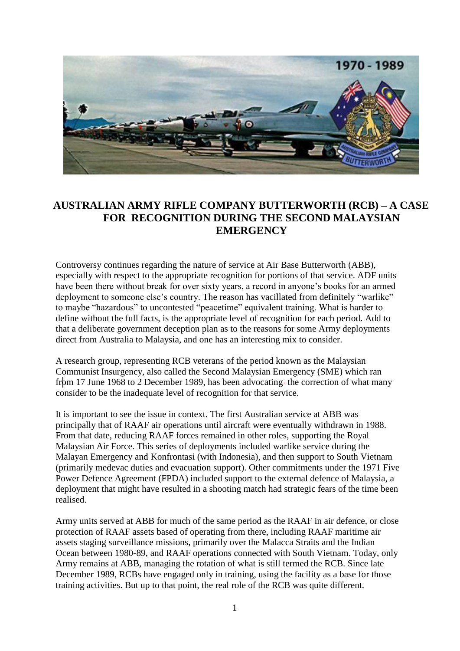

## **AUSTRALIAN ARMY RIFLE COMPANY BUTTERWORTH (RCB) – A CASE FOR RECOGNITION DURING THE SECOND MALAYSIAN EMERGENCY**

Controversy continues regarding the nature of service at Air Base Butterworth (ABB), especially with respect to the appropriate recognition for portions of that service. ADF units have been there without break for over sixty years, a record in anyone"s books for an armed deployment to someone else's country. The reason has vacillated from definitely "warlike" to maybe "hazardous" to uncontested "peacetime" equivalent training. What is harder to define without the full facts, is the appropriate level of recognition for each period. Add to that a deliberate government deception plan as to the reasons for some Army deployments direct from Australia to Malaysia, and one has an interesting mix to consider.

A research group, representing RCB veterans of the period known as the Malaysian Communist Insurgency, also called the Second Malaysian Emergency (SME) which ran from 17 June 1968 to 2 December 1989, has been advocating-the correction of what many consider to be the inadequate level of recognition for that service.

It is important to see the issue in context. The first Australian service at ABB was principally that of RAAF air operations until aircraft were eventually withdrawn in 1988. From that date, reducing RAAF forces remained in other roles, supporting the Royal Malaysian Air Force. This series of deployments included warlike service during the Malayan Emergency and Konfrontasi (with Indonesia), and then support to South Vietnam (primarily medevac duties and evacuation support). Other commitments under the 1971 Five Power Defence Agreement (FPDA) included support to the external defence of Malaysia, a deployment that might have resulted in a shooting match had strategic fears of the time been realised.

Army units served at ABB for much of the same period as the RAAF in air defence, or close protection of RAAF assets based of operating from there, including RAAF maritime air assets staging surveillance missions, primarily over the Malacca Straits and the Indian Ocean between 1980-89, and RAAF operations connected with South Vietnam. Today, only Army remains at ABB, managing the rotation of what is still termed the RCB. Since late December 1989, RCBs have engaged only in training, using the facility as a base for those training activities. But up to that point, the real role of the RCB was quite different.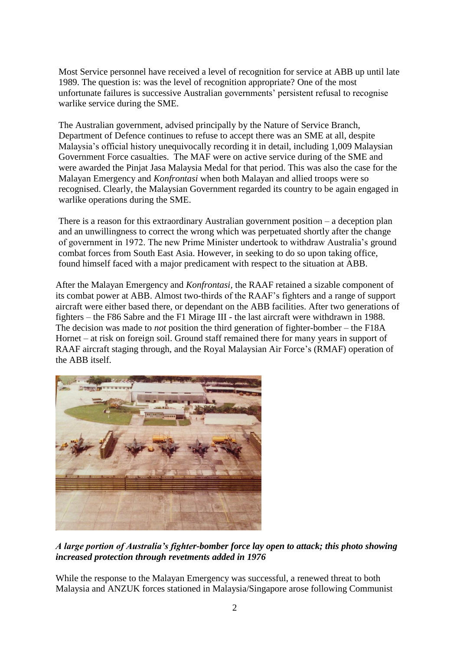Most Service personnel have received a level of recognition for service at ABB up until late 1989. The question is: was the level of recognition appropriate? One of the most unfortunate failures is successive Australian governments' persistent refusal to recognise warlike service during the SME.

The Australian government, advised principally by the Nature of Service Branch, Department of Defence continues to refuse to accept there was an SME at all, despite Malaysia"s official history unequivocally recording it in detail, including 1,009 Malaysian Government Force casualties. The MAF were on active service during of the SME and were awarded the Pinjat Jasa Malaysia Medal for that period. This was also the case for the Malayan Emergency and *Konfrontasi* when both Malayan and allied troops were so recognised. Clearly, the Malaysian Government regarded its country to be again engaged in warlike operations during the SME.

There is a reason for this extraordinary Australian government position  $-$  a deception plan and an unwillingness to correct the wrong which was perpetuated shortly after the change of government in 1972. The new Prime Minister undertook to withdraw Australia"s ground combat forces from South East Asia. However, in seeking to do so upon taking office, found himself faced with a major predicament with respect to the situation at ABB.

After the Malayan Emergency and *Konfrontasi,* the RAAF retained a sizable component of its combat power at ABB. Almost two-thirds of the RAAF"s fighters and a range of support aircraft were either based there, or dependant on the ABB facilities. After two generations of fighters – the F86 Sabre and the F1 Mirage III - the last aircraft were withdrawn in 1988. The decision was made to *not* position the third generation of fighter-bomber – the F18A Hornet – at risk on foreign soil. Ground staff remained there for many years in support of RAAF aircraft staging through, and the Royal Malaysian Air Force's (RMAF) operation of the ABB itself.



*A large portion of Australia's fighter-bomber force lay open to attack; this photo showing increased protection through revetments added in 1976*

While the response to the Malayan Emergency was successful, a renewed threat to both Malaysia and ANZUK forces stationed in Malaysia/Singapore arose following Communist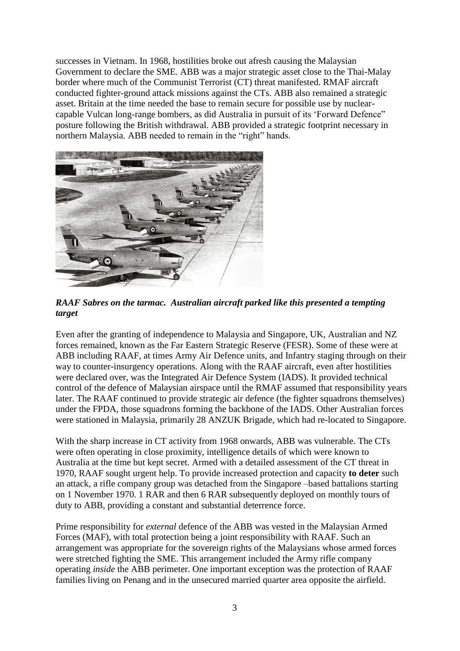successes in Vietnam. In 1968, hostilities broke out afresh causing the Malaysian Government to declare the SME. ABB was a major strategic asset close to the Thai-Malay border where much of the Communist Terrorist (CT) threat manifested. RMAF aircraft conducted fighter-ground attack missions against the CTs. ABB also remained a strategic asset. Britain at the time needed the base to remain secure for possible use by nuclearcapable Vulcan long-range bombers, as did Australia in pursuit of its "Forward Defence" posture following the British withdrawal. ABB provided a strategic footprint necessary in northern Malaysia. ABB needed to remain in the "right" hands.



*RAAF Sabres on the tarmac. Australian aircraft parked like this presented a tempting target*

Even after the granting of independence to Malaysia and Singapore, UK, Australian and NZ forces remained, known as the Far Eastern Strategic Reserve (FESR). Some of these were at ABB including RAAF, at times Army Air Defence units, and Infantry staging through on their way to counter-insurgency operations. Along with the RAAF aircraft, even after hostilities were declared over, was the Integrated Air Defence System (IADS). It provided technical control of the defence of Malaysian airspace until the RMAF assumed that responsibility years later. The RAAF continued to provide strategic air defence (the fighter squadrons themselves) under the FPDA, those squadrons forming the backbone of the IADS. Other Australian forces were stationed in Malaysia, primarily 28 ANZUK Brigade, which had re-located to Singapore.

With the sharp increase in CT activity from 1968 onwards, ABB was vulnerable. The CTs were often operating in close proximity, intelligence details of which were known to Australia at the time but kept secret. Armed with a detailed assessment of the CT threat in 1970, RAAF sought urgent help. To provide increased protection and capacity **to deter** such an attack, a rifle company group was detached from the Singapore –based battalions starting on 1 November 1970. 1 RAR and then 6 RAR subsequently deployed on monthly tours of duty to ABB, providing a constant and substantial deterrence force.

Prime responsibility for *external* defence of the ABB was vested in the Malaysian Armed Forces (MAF), with total protection being a joint responsibility with RAAF. Such an arrangement was appropriate for the sovereign rights of the Malaysians whose armed forces were stretched fighting the SME. This arrangement included the Army rifle company operating *inside* the ABB perimeter. One important exception was the protection of RAAF families living on Penang and in the unsecured married quarter area opposite the airfield.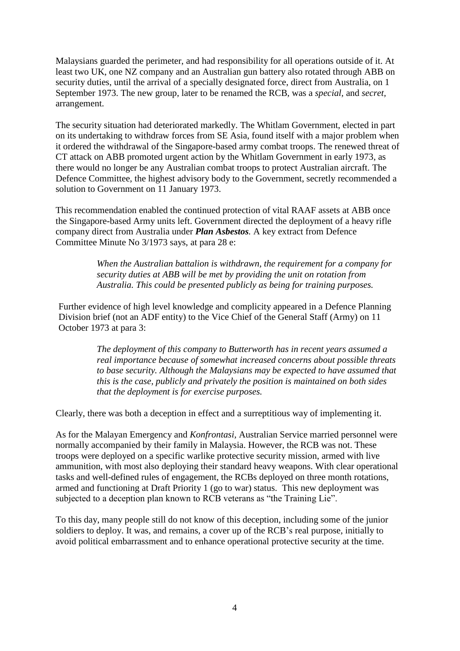Malaysians guarded the perimeter, and had responsibility for all operations outside of it. At least two UK, one NZ company and an Australian gun battery also rotated through ABB on security duties, until the arrival of a specially designated force, direct from Australia, on 1 September 1973. The new group, later to be renamed the RCB, was a *special,* and *secret,* arrangement.

The security situation had deteriorated markedly. The Whitlam Government, elected in part on its undertaking to withdraw forces from SE Asia, found itself with a major problem when it ordered the withdrawal of the Singapore-based army combat troops. The renewed threat of CT attack on ABB promoted urgent action by the Whitlam Government in early 1973, as there would no longer be any Australian combat troops to protect Australian aircraft. The Defence Committee, the highest advisory body to the Government, secretly recommended a solution to Government on 11 January 1973.

This recommendation enabled the continued protection of vital RAAF assets at ABB once the Singapore-based Army units left. Government directed the deployment of a heavy rifle company direct from Australia under *Plan Asbestos.* A key extract from Defence Committee Minute No 3/1973 says, at para 28 e:

> *When the Australian battalion is withdrawn, the requirement for a company for security duties at ABB will be met by providing the unit on rotation from Australia. This could be presented publicly as being for training purposes.*

Further evidence of high level knowledge and complicity appeared in a Defence Planning Division brief (not an ADF entity) to the Vice Chief of the General Staff (Army) on 11 October 1973 at para 3:

> *The deployment of this company to Butterworth has in recent years assumed a real importance because of somewhat increased concerns about possible threats to base security. Although the Malaysians may be expected to have assumed that this is the case, publicly and privately the position is maintained on both sides that the deployment is for exercise purposes.*

Clearly, there was both a deception in effect and a surreptitious way of implementing it.

As for the Malayan Emergency and *Konfrontasi,* Australian Service married personnel were normally accompanied by their family in Malaysia. However, the RCB was not. These troops were deployed on a specific warlike protective security mission, armed with live ammunition, with most also deploying their standard heavy weapons. With clear operational tasks and well-defined rules of engagement, the RCBs deployed on three month rotations, armed and functioning at Draft Priority 1 (go to war) status. This new deployment was subjected to a deception plan known to RCB veterans as "the Training Lie".

To this day, many people still do not know of this deception, including some of the junior soldiers to deploy. It was, and remains, a cover up of the RCB's real purpose, initially to avoid political embarrassment and to enhance operational protective security at the time.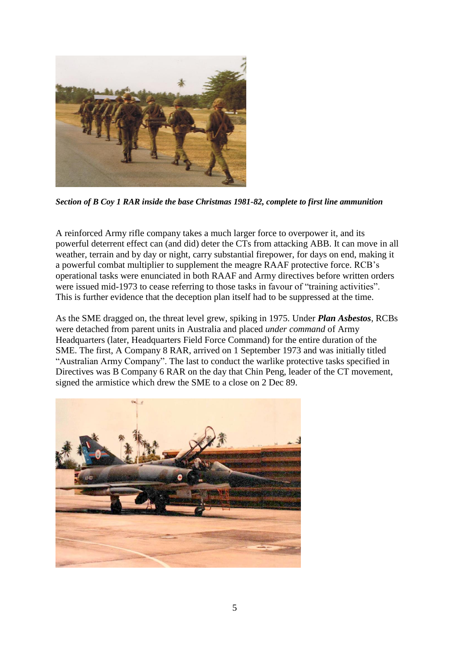

*Section of B Coy 1 RAR inside the base Christmas 1981-82, complete to first line ammunition*

A reinforced Army rifle company takes a much larger force to overpower it, and its powerful deterrent effect can (and did) deter the CTs from attacking ABB. It can move in all weather, terrain and by day or night, carry substantial firepower, for days on end, making it a powerful combat multiplier to supplement the meagre RAAF protective force. RCB"s operational tasks were enunciated in both RAAF and Army directives before written orders were issued mid-1973 to cease referring to those tasks in favour of "training activities". This is further evidence that the deception plan itself had to be suppressed at the time.

As the SME dragged on, the threat level grew, spiking in 1975. Under *Plan Asbestos*, RCBs were detached from parent units in Australia and placed *under command* of Army Headquarters (later, Headquarters Field Force Command) for the entire duration of the SME. The first, A Company 8 RAR, arrived on 1 September 1973 and was initially titled "Australian Army Company". The last to conduct the warlike protective tasks specified in Directives was B Company 6 RAR on the day that Chin Peng, leader of the CT movement, signed the armistice which drew the SME to a close on 2 Dec 89.

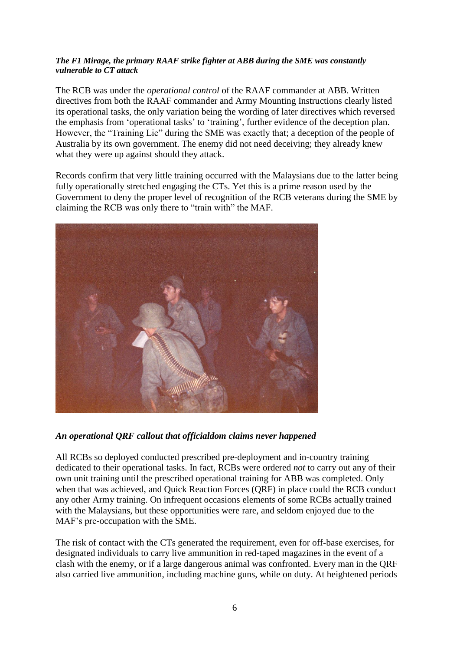## *The F1 Mirage, the primary RAAF strike fighter at ABB during the SME was constantly vulnerable to CT attack*

The RCB was under the *operational control* of the RAAF commander at ABB. Written directives from both the RAAF commander and Army Mounting Instructions clearly listed its operational tasks, the only variation being the wording of later directives which reversed the emphasis from "operational tasks" to "training", further evidence of the deception plan. However, the "Training Lie" during the SME was exactly that; a deception of the people of Australia by its own government. The enemy did not need deceiving; they already knew what they were up against should they attack.

Records confirm that very little training occurred with the Malaysians due to the latter being fully operationally stretched engaging the CTs. Yet this is a prime reason used by the Government to deny the proper level of recognition of the RCB veterans during the SME by claiming the RCB was only there to "train with" the MAF.



## *An operational QRF callout that officialdom claims never happened*

All RCBs so deployed conducted prescribed pre-deployment and in-country training dedicated to their operational tasks. In fact, RCBs were ordered *not* to carry out any of their own unit training until the prescribed operational training for ABB was completed. Only when that was achieved, and Quick Reaction Forces (QRF) in place could the RCB conduct any other Army training. On infrequent occasions elements of some RCBs actually trained with the Malaysians, but these opportunities were rare, and seldom enjoyed due to the MAF"s pre-occupation with the SME.

The risk of contact with the CTs generated the requirement, even for off-base exercises, for designated individuals to carry live ammunition in red-taped magazines in the event of a clash with the enemy, or if a large dangerous animal was confronted. Every man in the QRF also carried live ammunition, including machine guns, while on duty. At heightened periods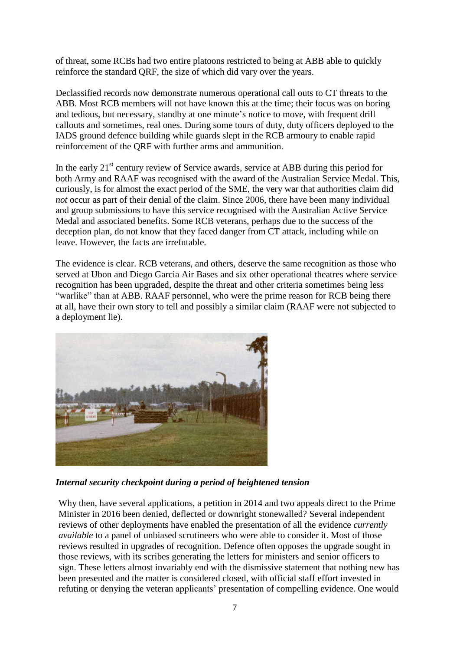of threat, some RCBs had two entire platoons restricted to being at ABB able to quickly reinforce the standard QRF, the size of which did vary over the years.

Declassified records now demonstrate numerous operational call outs to CT threats to the ABB. Most RCB members will not have known this at the time; their focus was on boring and tedious, but necessary, standby at one minute's notice to move, with frequent drill callouts and sometimes, real ones. During some tours of duty, duty officers deployed to the IADS ground defence building while guards slept in the RCB armoury to enable rapid reinforcement of the QRF with further arms and ammunition.

In the early  $21<sup>st</sup>$  century review of Service awards, service at ABB during this period for both Army and RAAF was recognised with the award of the Australian Service Medal. This, curiously, is for almost the exact period of the SME, the very war that authorities claim did *not* occur as part of their denial of the claim. Since 2006, there have been many individual and group submissions to have this service recognised with the Australian Active Service Medal and associated benefits. Some RCB veterans, perhaps due to the success of the deception plan, do not know that they faced danger from CT attack, including while on leave. However, the facts are irrefutable.

The evidence is clear. RCB veterans, and others, deserve the same recognition as those who served at Ubon and Diego Garcia Air Bases and six other operational theatres where service recognition has been upgraded, despite the threat and other criteria sometimes being less "warlike" than at ABB. RAAF personnel, who were the prime reason for RCB being there at all, have their own story to tell and possibly a similar claim (RAAF were not subjected to a deployment lie).



*Internal security checkpoint during a period of heightened tension*

Why then, have several applications, a petition in 2014 and two appeals direct to the Prime Minister in 2016 been denied, deflected or downright stonewalled? Several independent reviews of other deployments have enabled the presentation of all the evidence *currently available* to a panel of unbiased scrutineers who were able to consider it. Most of those reviews resulted in upgrades of recognition. Defence often opposes the upgrade sought in those reviews, with its scribes generating the letters for ministers and senior officers to sign. These letters almost invariably end with the dismissive statement that nothing new has been presented and the matter is considered closed, with official staff effort invested in refuting or denying the veteran applicants" presentation of compelling evidence. One would